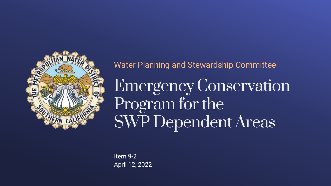

Water Planning and Stewardship Committee

Emergency Conservation Program for the SWP Dependent Areas

Item 9-2 April 12, 2022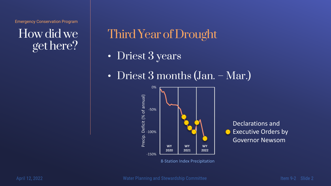How did we get here?

# Third Year of Drought

- Driest 3 years
- Driest 3 months (Jan. Mar.)



Declarations and Executive Orders by  $\bullet$ Governor Newsom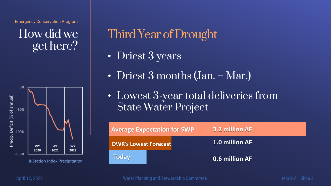How did we get here?



# Third Year of Drought

- Driest 3 years
- Driest 3 months (Jan. Mar.)
- Lowest 3-year total deliveries from State Water Project

| <b>Average Expectation for SWP</b> |  | 3.2 million AF        |
|------------------------------------|--|-----------------------|
| <b>DWR's Lowest Forecast</b>       |  | <b>1.0 million AF</b> |
| <b>Today</b>                       |  | 0.6 million AF        |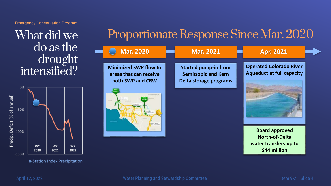What did we do as the drought intensified?



8-Station Index Precipitation

# Proportionate Response Since Mar. 2020

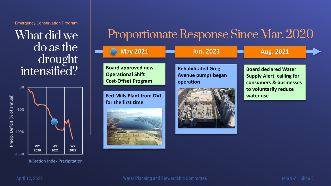What did we do as the drought intensified?



8-Station Index Precipitation

## Proportionate Response Since Mar. 2020

| <b>May 2021</b>                                                                     | <b>Jun. 2021</b>                                             | <b>Aug. 2021</b>                                                                          |  |
|-------------------------------------------------------------------------------------|--------------------------------------------------------------|-------------------------------------------------------------------------------------------|--|
| <b>Board approved new</b><br><b>Operational Shift</b><br><b>Cost-Offset Program</b> | <b>Rehabilitated Greg</b><br>Avenue pumps began<br>operation | <b>Board declared Water</b><br><b>Supply Alert, calling for</b><br>consumers & businesses |  |
| <b>Fed Mills Plant from DVL</b><br>for the first time                               |                                                              | to voluntarily reduce<br>water use                                                        |  |
|                                                                                     |                                                              |                                                                                           |  |
|                                                                                     |                                                              |                                                                                           |  |

Item 9-2 Slide 5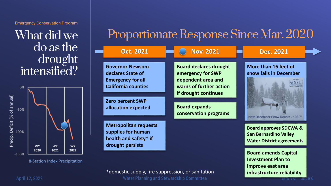What did we do as the drought intensified?



8-Station Index Precipitation

## Proportionate Response Since Mar. 2020

| <b>Oct. 2021</b>                                                                                      | <b>Nov. 2021</b>                                                                                                            | <b>Dec. 2021</b>                                                                                      |
|-------------------------------------------------------------------------------------------------------|-----------------------------------------------------------------------------------------------------------------------------|-------------------------------------------------------------------------------------------------------|
| <b>Governor Newsom</b><br>declares State of<br><b>Emergency for all</b><br><b>California counties</b> | <b>Board declares drought</b><br>emergency for SWP<br>dependent area and<br>warns of further action<br>if drought continues | More than 16 feet of<br>snow falls in December                                                        |
| <b>Zero percent SWP</b><br>allocation expected                                                        | <b>Board expands</b><br>conservation programs                                                                               | New December Snow Record - 193.7*                                                                     |
| <b>Metropolitan requests</b><br>supplies for human<br>health and safety* if<br>drought persists       |                                                                                                                             | <b>Board approves SDCWA &amp;</b><br><b>San Bernardino Valley</b><br><b>Water District agreements</b> |
|                                                                                                       |                                                                                                                             | <b>Board amends Capital</b><br><b>Investment Plan to</b>                                              |

\*domestic supply, fire suppression, or sanitation

April 12, 2022

<u>siide</u> 6 item 9-2-

**improve east area** 

**infrastructure reliability**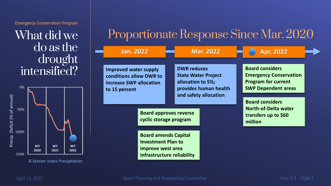What did we do as the drought intensified?



8-Station Index Precipitation

# Proportionate Response Since Mar. 2020

| <b>Jan. 2022</b>                                                                                                                                                                                                                                                              |  | <b>Mar. 2022</b>                                                                               | <b>Apr. 2022</b>                                                                                                    |
|-------------------------------------------------------------------------------------------------------------------------------------------------------------------------------------------------------------------------------------------------------------------------------|--|------------------------------------------------------------------------------------------------|---------------------------------------------------------------------------------------------------------------------|
| <b>Improved water supply</b><br>conditions allow DWR to<br>increase SWP allocation<br>to 15 percent<br><b>Board approves reverse</b><br>cyclic storage program<br><b>Board amends Capital</b><br><b>Investment Plan to</b><br>improve west area<br>infrastructure reliability |  | <b>DWR reduces</b><br><b>State Water Project</b><br>allocation to 5%;<br>provides human health | <b>Board considers</b><br><b>Emergency Conservation</b><br><b>Program for current</b><br><b>SWP Dependent areas</b> |
|                                                                                                                                                                                                                                                                               |  | and safety allocation                                                                          | <b>Board considers</b><br><b>North-of-Delta water</b><br>transfers up to \$60<br>million                            |
|                                                                                                                                                                                                                                                                               |  |                                                                                                |                                                                                                                     |

Item 9-2 Slide 7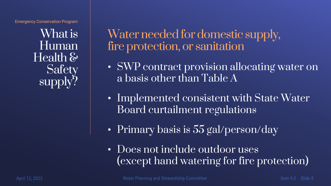What is Human Health & **Safety** supply?

Water needed for domestic supply, fire protection, or sanitation

- SWP contract provision allocating water on a basis other than Table A
- Implemented consistent with State Water Board curtailment regulations
- Primary basis is 55 gal/person/day
- Does not include outdoor uses (except hand watering for fire protection)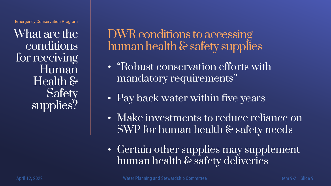What are the conditions for receiving Human Health & **Safety** supplies?

DWR conditions to accessing human health & safety supplies

- "Robust conservation efforts with mandatory requirements"
- Pay back water within five years
- Make investments to reduce reliance on SWP for human health & safety needs
- Certain other supplies may supplement human health & safety deliveries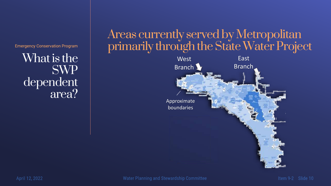What is the SWP dependent area?

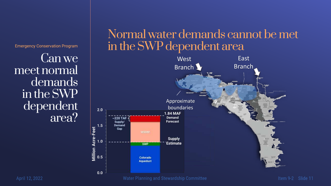Can we meet normal demands in the SWP dependent area?

# Normal water demands cannot be met in the SWP dependent area



April 12, 2022

Item 9-2 Slide 11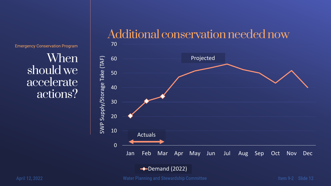When should we accelerate actions?





April 12, 2022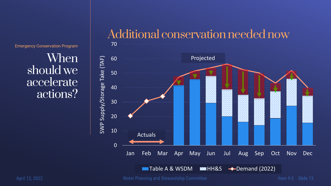When should we accelerate actions?

### Additional conservation needed now



Item 9-2 Slide 13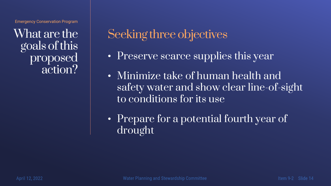What are the goals of this proposed action?

Seeking three objectives

- Preserve scarce supplies this year
- Minimize take of human health and safety water and show clear line-of-sight to conditions for its use
- Prepare for a potential fourth year of drought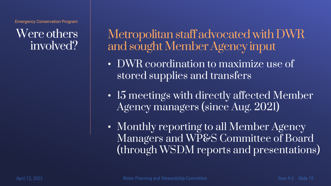## Were others involved?

Metropolitan staff advocated with DWR and sought Member Agency input

- DWR coordination to maximize use of stored supplies and transfers
- 15 meetings with directly affected Member Agency managers (since Aug. 2021)
- Monthly reporting to all Member Agency Managers and WP&S Committee of Board (through WSDM reports and presentations)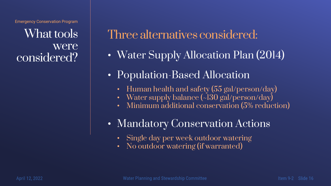What tools were considered?

Three alternatives considered:

- Water Supply Allocation Plan (2014)
- Population-Based Allocation
	- Human health and safety (55 gal/person/day)
	- Water supply balance (~130 gal/person/day)
	- Minimum additional conservation (5% reduction)
- Mandatory Conservation Actions
	- Single day per week outdoor watering
	- No outdoor watering (if warranted)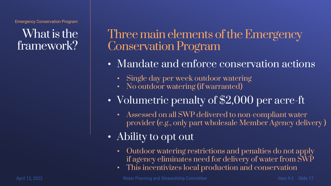### What is the framework?

Three main elements of the Emergency Conservation Program

- Mandate and enforce conservation actions
	- Single day per week outdoor watering
	- No outdoor watering (if warranted)
- Volumetric penalty of \$2,000 per acre-ft
	- Assessed on all SWP delivered to non-compliant water provider (e.g., only part wholesale Member Agency delivery )
- Ability to opt out
	- Outdoor watering restrictions and penalties do not apply if agency eliminates need for delivery of water from SWP
	- This incentivizes local production and conservation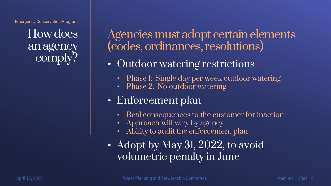How does an agency comply?

Agencies must adopt certain elements (codes, ordinances, resolutions)

- Outdoor watering restrictions
	- Phase I: Single day per week outdoor watering
	- Phase 2: No outdoor watering
- Enforcement plan
	- Real consequences to the customer for inaction
	- Approach will vary by agency
	- Ability to audit the enforcement plan
- Adopt by May 31, 2022, to avoid volumetric penalty in June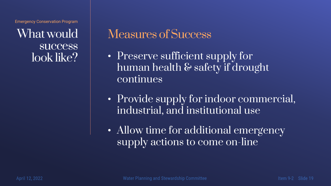What would **success** look like?

# Measures of Success

- Preserve sufficient supply for human health & safety if drought continues
- Provide supply for indoor commercial, industrial, and institutional use
- Allow time for additional emergency supply actions to come on-line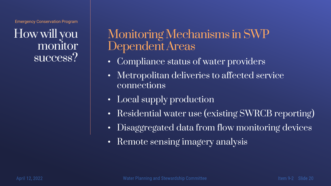How will you monitor success?

## Monitoring Mechanisms in SWP Dependent Areas

- Compliance status of water providers
- Metropolitan deliveries to affected service connections
- Local supply production
- Residential water use (existing SWRCB reporting)
- Disaggregated data from flow monitoring devices
- Remote sensing imagery analysis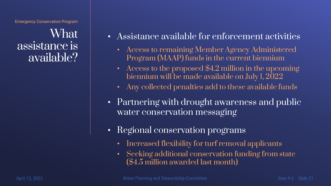What assistance is available?

- Assistance available for enforcement activities
	- Access to remaining Member Agency Administered Program (MAAP) funds in the current biennium
	- Access to the proposed \$4.2 million in the upcoming biennium will be made available on July 1, 2022
	- Any collected penalties add to these available funds
- Partnering with drought awareness and public water conservation messaging
- Regional conservation programs
	- Increased flexibility for turf removal applicants
	- Seeking additional conservation funding from state (\$4.5 million awarded last month)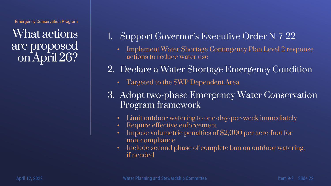What actions are proposed on April 26?

- 1. Support Governor's Executive Order N-7-22
	- Implement Water Shortage Contingency Plan Level 2 response actions to reduce water use
- 2. Declare a Water Shortage Emergency Condition
	- Targeted to the SWP Dependent Area
- 3. Adopt two-phase Emergency Water Conservation Program framework
	- Limit outdoor watering to one-day-per-week immediately
	- Require effective enforcement
	- Impose volumetric penalties of \$2,000 per acre-foot for non-compliance
	- Include second phase of complete ban on outdoor watering, if needed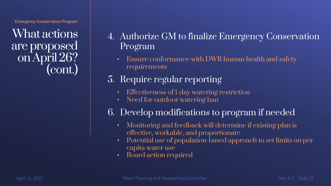What actions are proposed on April 26? (cont.)

- 4. Authorize GM to finalize Emergency Conservation Program
	- Ensure conformance with DWR human health and safety requirements
- 5. Require regular reporting
	- Effectiveness of 1-day watering restriction
	- Need for outdoor watering ban
- 6. Develop modifications to program if needed
	- Monitoring and feedback will determine if existing plan is effective, workable, and proportionate
	- Potential use of population-based approach to set limits on per capita water use
	- Board action required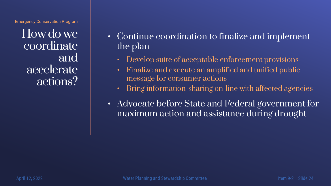How do we coordinate and accelerate actions?

- Continue coordination to finalize and implement the plan
	- Develop suite of acceptable enforcement provisions
	- Finalize and execute an amplified and unified public message for consumer actions
	- Bring information-sharing on-line with affected agencies
- Advocate before State and Federal government for maximum action and assistance during drought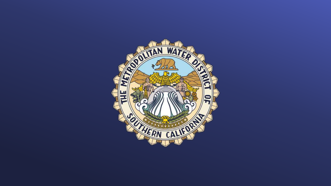